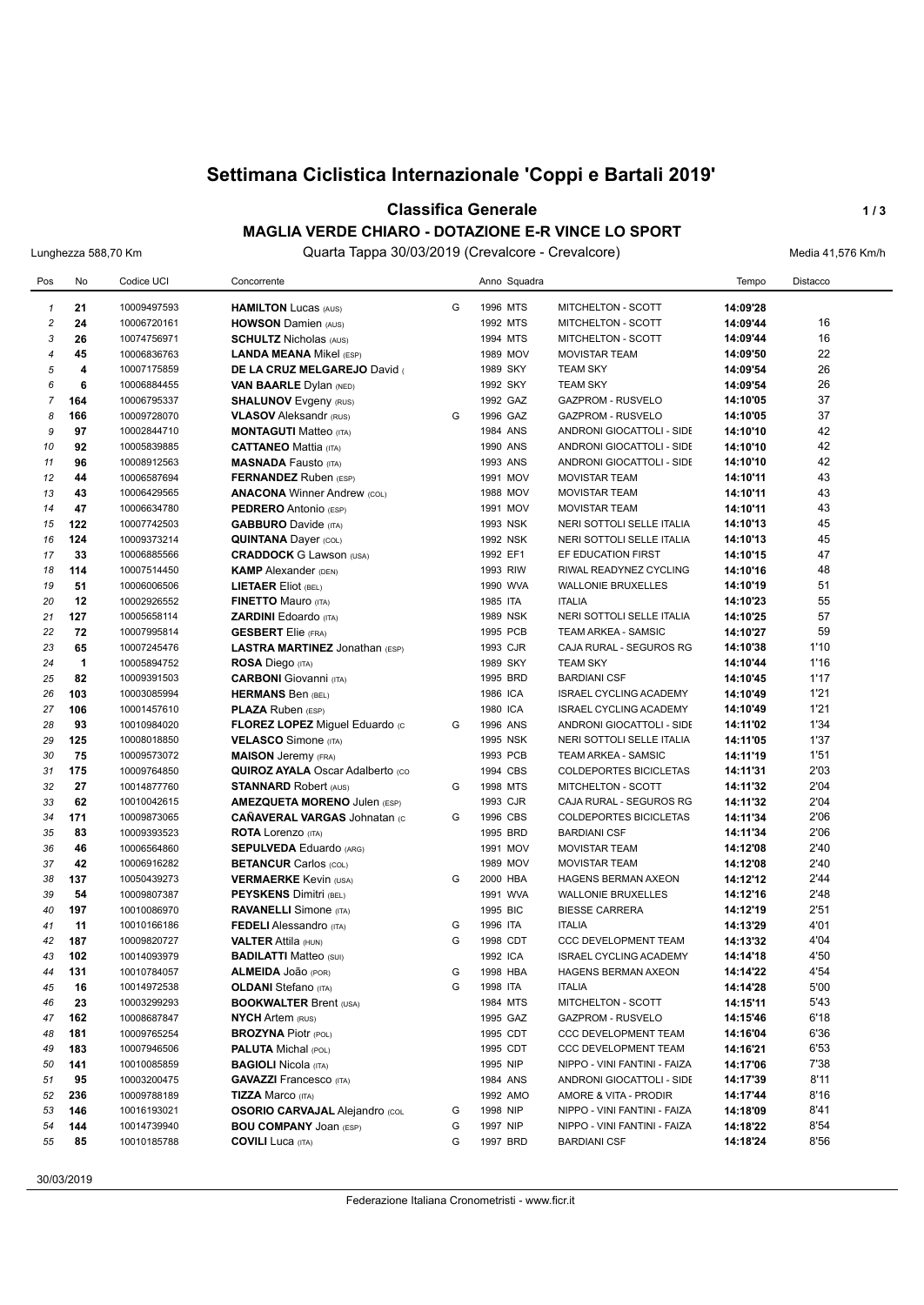# **Settimana Ciclistica Internazionale 'Coppi e Bartali 2019'**

#### **Classifica Generale 1/3**

#### **MAGLIA VERDE CHIARO - DOTAZIONE E-R VINCE LO SPORT**

Lunghezza 588,70 Km Quarta Tappa 30/03/2019 (Crevalcore - Crevalcore) Media 41,576 Km/h

| Pos            | No                      | Codice UCI                 | Concorrente                                                           |   | Anno Squadra         |                                                      | Tempo                | Distacco     |
|----------------|-------------------------|----------------------------|-----------------------------------------------------------------------|---|----------------------|------------------------------------------------------|----------------------|--------------|
| $\mathbf{1}$   | 21                      | 10009497593                | <b>HAMILTON Lucas (AUS)</b>                                           | G | 1996 MTS             | <b>MITCHELTON - SCOTT</b>                            | 14:09'28             |              |
| $\overline{c}$ | 24                      | 10006720161                | <b>HOWSON Damien (AUS)</b>                                            |   | 1992 MTS             | <b>MITCHELTON - SCOTT</b>                            | 14:09'44             | 16           |
| 3              | 26                      | 10074756971                | <b>SCHULTZ Nicholas (AUS)</b>                                         |   | 1994 MTS             | <b>MITCHELTON - SCOTT</b>                            | 14:09'44             | 16           |
| 4              | 45                      | 10006836763                | <b>LANDA MEANA Mikel (ESP)</b>                                        |   | 1989 MOV             | <b>MOVISTAR TEAM</b>                                 | 14:09'50             | 22           |
| 5              | $\overline{\mathbf{4}}$ | 10007175859                | DE LA CRUZ MELGAREJO David                                            |   | 1989 SKY             | <b>TEAM SKY</b>                                      | 14:09'54             | 26           |
| 6              | 6                       | 10006884455                | <b>VAN BAARLE Dylan (NED)</b>                                         |   | 1992 SKY             | <b>TEAM SKY</b>                                      | 14:09'54             | 26           |
| $\overline{7}$ | 164                     | 10006795337                | <b>SHALUNOV</b> Evgeny (RUS)                                          |   | 1992 GAZ             | GAZPROM - RUSVELO                                    | 14:10'05             | 37           |
| 8              | 166                     | 10009728070                | <b>VLASOV</b> Aleksandr (RUS)                                         | G | 1996 GAZ             | <b>GAZPROM - RUSVELO</b>                             | 14:10'05             | 37           |
| 9              | 97                      | 10002844710                | <b>MONTAGUTI Matteo</b> (ITA)                                         |   | 1984 ANS             | ANDRONI GIOCATTOLI - SIDE                            | 14:10'10             | 42           |
| 10             | 92                      | 10005839885                | <b>CATTANEO Mattia (ITA)</b>                                          |   | 1990 ANS             | ANDRONI GIOCATTOLI - SIDE                            | 14:10'10             | 42           |
| 11             | 96                      | 10008912563                | <b>MASNADA Fausto (ITA)</b>                                           |   | 1993 ANS             | ANDRONI GIOCATTOLI - SIDE                            | 14:10'10             | 42           |
| 12             | 44                      | 10006587694                | <b>FERNANDEZ</b> Ruben (ESP)                                          |   | 1991 MOV             | <b>MOVISTAR TEAM</b>                                 | 14:10'11             | 43           |
| 13             | 43                      | 10006429565                | <b>ANACONA Winner Andrew (COL)</b>                                    |   | 1988 MOV             | <b>MOVISTAR TEAM</b>                                 | 14:10'11             | 43           |
| 14             | 47                      | 10006634780                | <b>PEDRERO</b> Antonio (ESP)                                          |   | 1991 MOV             | <b>MOVISTAR TEAM</b>                                 | 14:10'11             | 43           |
| 15             | 122                     | 10007742503                | <b>GABBURO</b> Davide (ITA)                                           |   | 1993 NSK             | NERI SOTTOLI SELLE ITALIA                            | 14:10'13             | 45           |
| 16             | 124                     | 10009373214                | <b>QUINTANA Dayer (COL)</b>                                           |   | 1992 NSK             | NERI SOTTOLI SELLE ITALIA                            | 14:10'13             | 45           |
| 17             | 33                      | 10006885566                | <b>CRADDOCK G Lawson (USA)</b>                                        |   | 1992 EF1             | EF EDUCATION FIRST                                   | 14:10'15             | 47           |
| 18             | 114                     | 10007514450                | <b>KAMP</b> Alexander (DEN)                                           |   | 1993 RIW             | RIWAL READYNEZ CYCLING                               | 14:10'16             | 48           |
| 19             | 51                      | 10006006506                | <b>LIETAER Eliot (BEL)</b>                                            |   | 1990 WVA             | <b>WALLONIE BRUXELLES</b>                            | 14:10'19             | 51           |
| 20             | 12                      | 10002926552                | <b>FINETTO Mauro (ITA)</b>                                            |   | 1985 ITA             | <b>ITALIA</b>                                        | 14:10'23             | 55           |
| 21             | 127                     | 10005658114                | <b>ZARDINI</b> Edoardo (ITA)                                          |   | 1989 NSK             | NERI SOTTOLI SELLE ITALIA                            | 14:10'25             | 57           |
| 22             | 72                      | 10007995814                | <b>GESBERT</b> Elie (FRA)                                             |   | 1995 PCB             | TEAM ARKEA - SAMSIC                                  | 14:10'27             | 59           |
| 23             | 65                      | 10007245476                | <b>LASTRA MARTINEZ Jonathan (ESP)</b>                                 |   | 1993 CJR             | CAJA RURAL - SEGUROS RG                              | 14:10'38             | 1'10         |
| 24             | $\blacktriangleleft$    | 10005894752                | <b>ROSA Diego (ITA)</b>                                               |   | 1989 SKY             | <b>TEAM SKY</b>                                      | 14:10'44             | 1'16         |
| 25             | 82                      | 10009391503                | <b>CARBONI</b> Giovanni (ITA)                                         |   | 1995 BRD             | <b>BARDIANI CSF</b>                                  | 14:10'45             | 1'17         |
| 26             | 103                     | 10003085994                | <b>HERMANS Ben (BEL)</b>                                              |   | 1986 ICA             | <b>ISRAEL CYCLING ACADEMY</b>                        | 14:10'49             | 1'21         |
| 27             | 106                     | 10001457610                | <b>PLAZA Ruben (ESP)</b>                                              |   | 1980 ICA             | <b>ISRAEL CYCLING ACADEMY</b>                        | 14:10'49             | 1'21         |
| 28             | 93                      | 10010984020                | FLOREZ LOPEZ Miguel Eduardo (c                                        | G | 1996 ANS             | ANDRONI GIOCATTOLI - SIDE                            | 14:11'02             | 1'34         |
| 29<br>30       | 125<br>75               | 10008018850                | <b>VELASCO</b> Simone (ITA)                                           |   | 1995 NSK<br>1993 PCB | NERI SOTTOLI SELLE ITALIA                            | 14:11'05             | 1'37<br>1'51 |
| 31             | 175                     | 10009573072<br>10009764850 | <b>MAISON</b> Jeremy (FRA)<br><b>QUIROZ AYALA Oscar Adalberto (CO</b> |   | 1994 CBS             | TEAM ARKEA - SAMSIC<br><b>COLDEPORTES BICICLETAS</b> | 14:11'19<br>14:11'31 | 2'03         |
| 32             | 27                      | 10014877760                | <b>STANNARD Robert (AUS)</b>                                          | G | 1998 MTS             | MITCHELTON - SCOTT                                   | 14:11'32             | 2'04         |
| 33             | 62                      | 10010042615                | <b>AMEZQUETA MORENO Julen (ESP)</b>                                   |   | 1993 CJR             | CAJA RURAL - SEGUROS RG                              | 14:11'32             | 2'04         |
| 34             | 171                     | 10009873065                | <b>CAÑAVERAL VARGAS Johnatan (C</b>                                   | G | 1996 CBS             | <b>COLDEPORTES BICICLETAS</b>                        | 14:11'34             | 2'06         |
| 35             | 83                      | 10009393523                | <b>ROTA Lorenzo (ITA)</b>                                             |   | 1995 BRD             | <b>BARDIANI CSF</b>                                  | 14:11'34             | 2'06         |
| 36             | 46                      | 10006564860                | <b>SEPULVEDA Eduardo (ARG)</b>                                        |   | 1991 MOV             | <b>MOVISTAR TEAM</b>                                 | 14:12'08             | 2'40         |
| 37             | 42                      | 10006916282                | <b>BETANCUR Carlos (COL)</b>                                          |   | 1989 MOV             | <b>MOVISTAR TEAM</b>                                 | 14:12'08             | 2'40         |
| 38             | 137                     | 10050439273                | <b>VERMAERKE Kevin (USA)</b>                                          | G | 2000 HBA             | <b>HAGENS BERMAN AXEON</b>                           | 14:12'12             | 2'44         |
| 39             | 54                      | 10009807387                | <b>PEYSKENS Dimitri (BEL)</b>                                         |   | 1991 WVA             | <b>WALLONIE BRUXELLES</b>                            | 14:12'16             | 2'48         |
| 40             | 197                     | 10010086970                | <b>RAVANELLI</b> Simone (ITA)                                         |   | 1995 BIC             | <b>BIESSE CARRERA</b>                                | 14:12'19             | 2'51         |
| 41             | 11                      | 10010166186                | <b>FEDELI</b> Alessandro (ITA)                                        | G | 1996 ITA             | <b>ITALIA</b>                                        | 14:13'29             | 4'01         |
| 42             | 187                     | 10009820727                | <b>VALTER Attila (HUN)</b>                                            | G | 1998 CDT             | <b>CCC DEVELOPMENT TEAM</b>                          | 14:13'32             | 4'04         |
| 43             | 102                     | 10014093979                | <b>BADILATTI Matteo (SUI)</b>                                         |   | 1992 ICA             | <b>ISRAEL CYCLING ACADEMY</b>                        | 14:14'18             | 4'50         |
| 44             | 131                     | 10010784057                | ALMEIDA JOãO (POR)                                                    | G | 1998 HBA             | HAGENS BERMAN AXEON                                  | 14:14'22             | 4'54         |
| 45             | 16                      | 10014972538                | <b>OLDANI</b> Stefano (ITA)                                           | G | 1998 ITA             | <b>ITALIA</b>                                        | 14:14'28             | 5'00         |
| 46             | 23                      | 10003299293                | <b>BOOKWALTER Brent (USA)</b>                                         |   | 1984 MTS             | MITCHELTON - SCOTT                                   | 14:15'11             | 5'43         |
| 47             | 162                     | 10008687847                | <b>NYCH Artem (RUS)</b>                                               |   | 1995 GAZ             | <b>GAZPROM - RUSVELO</b>                             | 14:15'46             | 6'18         |
| 48             | 181                     | 10009765254                | <b>BROZYNA Piotr (POL)</b>                                            |   | 1995 CDT             | CCC DEVELOPMENT TEAM                                 | 14:16'04             | 6'36         |
| 49             | 183                     | 10007946506                | <b>PALUTA Michal (POL)</b>                                            |   | 1995 CDT             | CCC DEVELOPMENT TEAM                                 | 14:16'21             | 6'53         |
| 50             | 141                     | 10010085859                | <b>BAGIOLI Nicola (ITA)</b>                                           |   | 1995 NIP             | NIPPO - VINI FANTINI - FAIZA                         | 14:17'06             | 7'38         |
| 51             | 95                      | 10003200475                | <b>GAVAZZI Francesco</b> (ITA)                                        |   | 1984 ANS             | ANDRONI GIOCATTOLI - SIDE                            | 14:17'39             | 8'11         |
| 52             | 236                     | 10009788189                | <b>TIZZA Marco (ITA)</b>                                              |   | 1992 AMO             | AMORE & VITA - PRODIR                                | 14:17'44             | 8'16         |
| 53             | 146                     | 10016193021                | <b>OSORIO CARVAJAL Alejandro (COL</b>                                 | G | 1998 NIP             | NIPPO - VINI FANTINI - FAIZA                         | 14:18'09             | 8'41         |
| 54             | 144                     | 10014739940                | <b>BOU COMPANY JOAN (ESP)</b>                                         | G | 1997 NIP             | NIPPO - VINI FANTINI - FAIZA                         | 14:18'22             | 8'54         |
| 55             | 85                      | 10010185788                | <b>COVILI</b> Luca (ITA)                                              | G | 1997 BRD             | <b>BARDIANI CSF</b>                                  | 14:18'24             | 8'56         |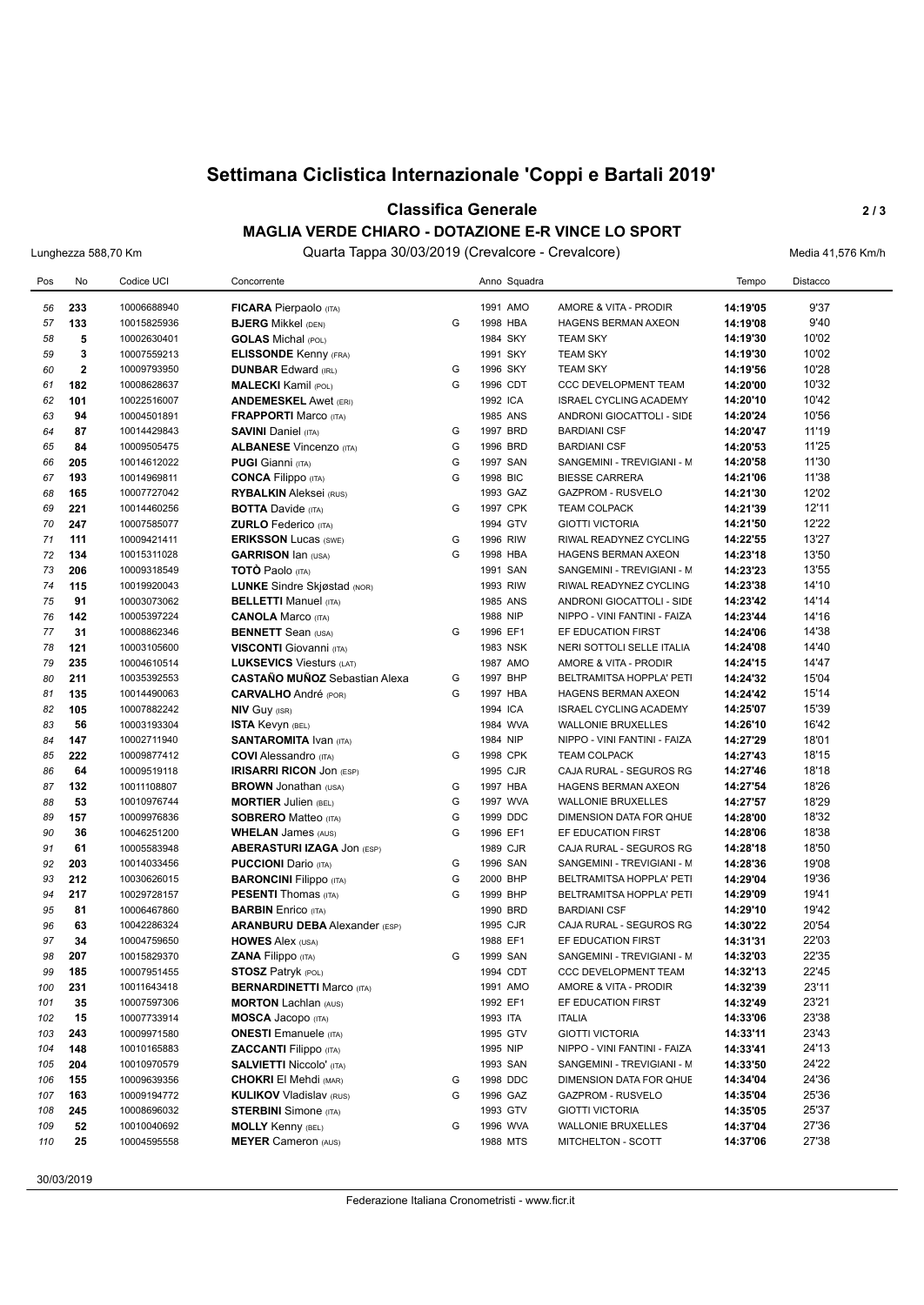# **Settimana Ciclistica Internazionale 'Coppi e Bartali 2019'**

#### **Classifica Generale** 2/3

### **MAGLIA VERDE CHIARO - DOTAZIONE E-R VINCE LO SPORT**

Lunghezza 588,70 Km **Cuarta Tappa 30/03/2019 (Crevalcore - Crevalcore)** Media 41,576 Km/h

| Pos | No          | Codice UCI  | Concorrente                          |   |          | Anno Squadra |                               | Tempo    | Distacco |
|-----|-------------|-------------|--------------------------------------|---|----------|--------------|-------------------------------|----------|----------|
| 56  | 233         | 10006688940 | <b>FICARA Pierpaolo (ITA)</b>        |   | 1991 AMO |              | AMORE & VITA - PRODIR         | 14:19'05 | 9'37     |
| 57  | 133         | 10015825936 | <b>BJERG Mikkel (DEN)</b>            | G | 1998 HBA |              | <b>HAGENS BERMAN AXEON</b>    | 14:19'08 | 9'40     |
| 58  | 5           | 10002630401 | <b>GOLAS</b> Michal (POL)            |   | 1984 SKY |              | <b>TEAM SKY</b>               | 14:19'30 | 10'02    |
| 59  | 3           | 10007559213 | <b>ELISSONDE Kenny (FRA)</b>         |   | 1991 SKY |              | <b>TEAM SKY</b>               | 14:19'30 | 10'02    |
| 60  | $\mathbf 2$ | 10009793950 | <b>DUNBAR Edward (IRL)</b>           | G | 1996 SKY |              | <b>TEAM SKY</b>               | 14:19'56 | 10'28    |
| 61  | 182         | 10008628637 | <b>MALECKI</b> Kamil (POL)           | G | 1996 CDT |              | CCC DEVELOPMENT TEAM          | 14:20'00 | 10'32    |
| 62  | 101         | 10022516007 | <b>ANDEMESKEL Awet (ERI)</b>         |   | 1992 ICA |              | <b>ISRAEL CYCLING ACADEMY</b> | 14:20'10 | 10'42    |
| 63  | 94          | 10004501891 | <b>FRAPPORTI Marco (ITA)</b>         |   | 1985 ANS |              | ANDRONI GIOCATTOLI - SIDE     | 14:20'24 | 10'56    |
| 64  | 87          | 10014429843 | <b>SAVINI Daniel (ITA)</b>           | G | 1997 BRD |              | <b>BARDIANI CSF</b>           | 14:20'47 | 11'19    |
| 65  | 84          | 10009505475 | <b>ALBANESE Vincenzo (ITA)</b>       | G | 1996 BRD |              | <b>BARDIANI CSF</b>           | 14:20'53 | 11'25    |
| 66  | 205         | 10014612022 | <b>PUGI Gianni</b> (ITA)             | G | 1997 SAN |              | SANGEMINI - TREVIGIANI - M    | 14:20'58 | 11'30    |
| 67  | 193         | 10014969811 | <b>CONCA Filippo</b> (ITA)           | G | 1998 BIC |              | <b>BIESSE CARRERA</b>         | 14:21'06 | 11'38    |
| 68  | 165         | 10007727042 | <b>RYBALKIN</b> Aleksei (RUS)        |   | 1993 GAZ |              | <b>GAZPROM - RUSVELO</b>      | 14:21'30 | 12'02    |
| 69  | 221         | 10014460256 | <b>BOTTA Davide (ITA)</b>            | G | 1997 CPK |              | <b>TEAM COLPACK</b>           | 14:21'39 | 12'11    |
| 70  | 247         | 10007585077 | <b>ZURLO</b> Federico (ITA)          |   | 1994 GTV |              | <b>GIOTTI VICTORIA</b>        | 14:21'50 | 12'22    |
| 71  | 111         | 10009421411 | <b>ERIKSSON Lucas (SWE)</b>          | G | 1996 RIW |              | RIWAL READYNEZ CYCLING        | 14:22'55 | 13'27    |
| 72  | 134         | 10015311028 | <b>GARRISON Ian (USA)</b>            | G | 1998 HBA |              | <b>HAGENS BERMAN AXEON</b>    | 14:23'18 | 13'50    |
| 73  | 206         | 10009318549 | TOTO Paolo (ITA)                     |   | 1991 SAN |              | SANGEMINI - TREVIGIANI - M    | 14:23'23 | 13'55    |
| 74  | 115         | 10019920043 | <b>LUNKE</b> Sindre Skjøstad (NOR)   |   | 1993 RIW |              | RIWAL READYNEZ CYCLING        | 14:23'38 | 14'10    |
| 75  | 91          | 10003073062 | <b>BELLETTI Manuel (ITA)</b>         |   | 1985 ANS |              | ANDRONI GIOCATTOLI - SIDE     | 14:23'42 | 14'14    |
| 76  | 142         | 10005397224 | <b>CANOLA Marco (ITA)</b>            |   | 1988 NIP |              | NIPPO - VINI FANTINI - FAIZA  | 14:23'44 | 14'16    |
| 77  | 31          | 10008862346 | <b>BENNETT</b> Sean (USA)            | G | 1996 EF1 |              | EF EDUCATION FIRST            | 14:24'06 | 14'38    |
| 78  | 121         | 10003105600 | <b>VISCONTI</b> Giovanni (ITA)       |   | 1983 NSK |              | NERI SOTTOLI SELLE ITALIA     | 14:24'08 | 14'40    |
| 79  | 235         | 10004610514 | <b>LUKSEVICS Viesturs (LAT)</b>      |   | 1987 AMO |              | AMORE & VITA - PRODIR         | 14:24'15 | 14'47    |
| 80  | 211         | 10035392553 | <b>CASTAÑO MUÑOZ</b> Sebastian Alexa | G | 1997 BHP |              | BELTRAMITSA HOPPLA' PETI      | 14:24'32 | 15'04    |
| 81  | 135         | 10014490063 | <b>CARVALHO</b> André (POR)          | G | 1997 HBA |              | <b>HAGENS BERMAN AXEON</b>    | 14:24'42 | 15'14    |
| 82  | 105         | 10007882242 | <b>NIV GUY (ISR)</b>                 |   | 1994 ICA |              | <b>ISRAEL CYCLING ACADEMY</b> | 14:25'07 | 15'39    |
| 83  | 56          | 10003193304 | <b>ISTA Kevyn (BEL)</b>              |   | 1984 WVA |              | <b>WALLONIE BRUXELLES</b>     | 14:26'10 | 16'42    |
| 84  | 147         | 10002711940 | <b>SANTAROMITA IVAN (ITA)</b>        |   | 1984 NIP |              | NIPPO - VINI FANTINI - FAIZA  | 14:27'29 | 18'01    |
| 85  | 222         | 10009877412 | <b>COVI</b> Alessandro (ITA)         | G | 1998 CPK |              | <b>TEAM COLPACK</b>           | 14:27'43 | 18'15    |
| 86  | 64          | 10009519118 | <b>IRISARRI RICON JON (ESP)</b>      |   | 1995 CJR |              | CAJA RURAL - SEGUROS RG       | 14:27'46 | 18'18    |
| 87  | 132         | 10011108807 | <b>BROWN</b> Jonathan (USA)          | G | 1997 HBA |              | HAGENS BERMAN AXEON           | 14:27'54 | 18'26    |
| 88  | 53          | 10010976744 | <b>MORTIER Julien (BEL)</b>          | G | 1997 WVA |              | <b>WALLONIE BRUXELLES</b>     | 14:27'57 | 18'29    |
| 89  | 157         | 10009976836 | <b>SOBRERO Matteo (ITA)</b>          | G | 1999 DDC |              | DIMENSION DATA FOR QHUE       | 14:28'00 | 18'32    |
| 90  | 36          | 10046251200 | <b>WHELAN James (AUS)</b>            | G | 1996 EF1 |              | EF EDUCATION FIRST            | 14:28'06 | 18'38    |
| 91  | 61          | 10005583948 | <b>ABERASTURI IZAGA JON (ESP)</b>    |   | 1989 CJR |              | CAJA RURAL - SEGUROS RG       | 14:28'18 | 18'50    |
| 92  | 203         | 10014033456 | <b>PUCCIONI</b> Dario (ITA)          | G | 1996 SAN |              | SANGEMINI - TREVIGIANI - M    | 14:28'36 | 19'08    |
| 93  | 212         | 10030626015 | <b>BARONCINI Filippo</b> (ITA)       | G | 2000 BHP |              | BELTRAMITSA HOPPLA' PETI      | 14:29'04 | 19'36    |
| 94  | 217         | 10029728157 | <b>PESENTI</b> Thomas (ITA)          | G | 1999 BHP |              | BELTRAMITSA HOPPLA' PETI      | 14:29'09 | 19'41    |
| 95  | 81          | 10006467860 | <b>BARBIN</b> Enrico (ITA)           |   | 1990 BRD |              | <b>BARDIANI CSF</b>           | 14:29'10 | 19'42    |
| 96  | 63          | 10042286324 | <b>ARANBURU DEBA</b> Alexander (ESP) |   | 1995 CJR |              | CAJA RURAL - SEGUROS RG       | 14:30'22 | 20'54    |
| 97  | 34          | 10004759650 | <b>HOWES Alex (USA)</b>              |   | 1988 EF1 |              | EF EDUCATION FIRST            | 14:31'31 | 22'03    |
| 98  | 207         | 10015829370 | <b>ZANA Filippo</b> (ITA)            | G | 1999 SAN |              | SANGEMINI - TREVIGIANI - M    | 14:32'03 | 22'35    |
| 99  | 185         | 10007951455 | <b>STOSZ Patryk (POL)</b>            |   | 1994 CDT |              | <b>CCC DEVELOPMENT TEAM</b>   | 14:32'13 | 22'45    |
| 100 | 231         | 10011643418 | <b>BERNARDINETTI Marco (ITA)</b>     |   | 1991 AMO |              | AMORE & VITA - PRODIR         | 14:32'39 | 23'11    |
| 101 | 35          | 10007597306 | <b>MORTON Lachlan (AUS)</b>          |   | 1992 EF1 |              | EF EDUCATION FIRST            | 14:32'49 | 23'21    |
| 102 | 15          | 10007733914 | <b>MOSCA Jacopo</b> (ITA)            |   | 1993 ITA |              | <b>ITALIA</b>                 | 14:33'06 | 23'38    |
| 103 | 243         | 10009971580 | <b>ONESTI</b> Emanuele (ITA)         |   | 1995 GTV |              | <b>GIOTTI VICTORIA</b>        | 14:33'11 | 23'43    |
| 104 | 148         | 10010165883 | <b>ZACCANTI</b> Filippo (ITA)        |   | 1995 NIP |              | NIPPO - VINI FANTINI - FAIZA  | 14:33'41 | 24'13    |
| 105 | 204         | 10010970579 | <b>SALVIETTI Niccolo' (ITA)</b>      |   | 1993 SAN |              | SANGEMINI - TREVIGIANI - M    | 14:33'50 | 24'22    |
| 106 | 155         | 10009639356 | <b>CHOKRI El Mehdi (MAR)</b>         | G | 1998 DDC |              | DIMENSION DATA FOR QHUE       | 14:34'04 | 24'36    |
| 107 | 163         | 10009194772 | <b>KULIKOV Vladislav (RUS)</b>       | G | 1996 GAZ |              | <b>GAZPROM - RUSVELO</b>      | 14:35'04 | 25'36    |
| 108 | 245         | 10008696032 | <b>STERBINI</b> Simone (ITA)         |   | 1993 GTV |              | <b>GIOTTI VICTORIA</b>        | 14:35'05 | 25'37    |
| 109 | 52          | 10010040692 | <b>MOLLY Kenny (BEL)</b>             | G | 1996 WVA |              | <b>WALLONIE BRUXELLES</b>     | 14:37'04 | 27'36    |
| 110 | 25          | 10004595558 | <b>MEYER Cameron (AUS)</b>           |   | 1988 MTS |              | MITCHELTON - SCOTT            | 14:37'06 | 27'38    |

30/03/2019